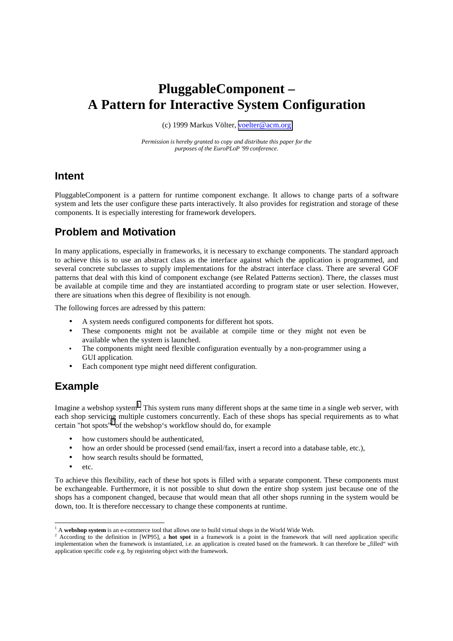# **PluggableComponent – A Pattern for Interactive System Configuration**

(c) 1999 Markus Völter, [voelter@acm.org](mailto:voelter@acm.org)

*Permission is hereby granted to copy and distribute this paper for the purposes of the EuroPLoP '99 conference.*

### **Intent**

PluggableComponent is a pattern for runtime component exchange. It allows to change parts of a software system and lets the user configure these parts interactively. It also provides for registration and storage of these components. It is especially interesting for framework developers.

# **Problem and Motivation**

In many applications, especially in frameworks, it is necessary to exchange components. The standard approach to achieve this is to use an abstract class as the interface against which the application is programmed, and several concrete subclasses to supply implementations for the abstract interface class. There are several GOF patterns that deal with this kind of component exchange (see Related Patterns section). There, the classes must be available at compile time and they are instantiated according to program state or user selection. However, there are situations when this degree of flexibility is not enough.

The following forces are adressed by this pattern:

- A system needs configured components for different hot spots.
- These components might not be available at compile time or they might not even be available when the system is launched.
- The components might need flexible configuration eventually by a non-programmer using a GUI application.
- Each component type might need different configuration.

# **Example**

Imagine a webshop system<sup>1</sup>. This system runs many different shops at the same time in a single web server, with each shop servicing multiple customers concurrently. Each of these shops has special requirements as to what certain "hot spots"<sup>2</sup> of the webshop's workflow should do, for example

- how customers should be authenticated,
- how an order should be processed (send email/fax, insert a record into a database table, etc.),
- how search results should be formatted.
- $_{\text{etc}}$

To achieve this flexibility, each of these hot spots is filled with a separate component. These components must be exchangeable. Furthermore, it is not possible to shut down the entire shop system just because one of the shops has a component changed, because that would mean that all other shops running in the system would be down, too. It is therefore neccessary to change these components at runtime.

<sup>&</sup>lt;sup>1</sup> A **webshop system** is an e-commerce tool that allows one to build virtual shops in the World Wide Web.

<sup>2</sup> According to the definition in [WP95], a **hot spot** in a framework is a point in the framework that will need application specific implementation when the framework is instantiated, i.e. an application is created based on the framework. It can therefore be "filled" with application specific code e.g. by registering object with the framework.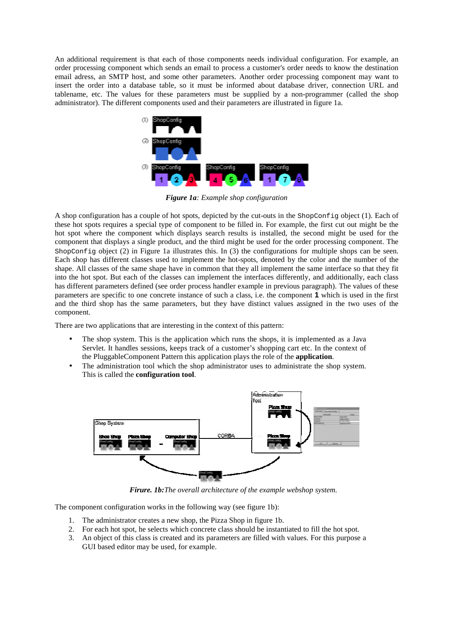An additional requirement is that each of those components needs individual configuration. For example, an order processing component which sends an email to process a customer's order needs to know the destination email adress, an SMTP host, and some other parameters. Another order processing component may want to insert the order into a database table, so it must be informed about database driver, connection URL and tablename, etc. The values for these parameters must be supplied by a non-programmer (called the shop administrator). The different components used and their parameters are illustrated in figure 1a.



*Figure 1a: Example shop configuration*

A shop configuration has a couple of hot spots, depicted by the cut-outs in the ShopConfig object (1). Each of these hot spots requires a special type of component to be filled in. For example, the first cut out might be the hot spot where the component which displays search results is installed, the second might be used for the component that displays a single product, and the third might be used for the order processing component. The ShopConfig object (2) in Figure 1a illustrates this. In (3) the configurations for multiple shops can be seen. Each shop has different classes used to implement the hot-spots, denoted by the color and the number of the shape. All classes of the same shape have in common that they all implement the same interface so that they fit into the hot spot. But each of the classes can implement the interfaces differently, and additionally, each class has different parameters defined (see order process handler example in previous paragraph). The values of these parameters are specific to one concrete instance of such a class, i.e. the component **1** which is used in the first and the third shop has the same parameters, but they have distinct values assigned in the two uses of the component.

There are two applications that are interesting in the context of this pattern:

- The shop system. This is the application which runs the shops, it is implemented as a Java Servlet. It handles sessions, keeps track of a customer's shopping cart etc. In the context of the PluggableComponent Pattern this application plays the role of the **application**.
- The administration tool which the shop administrator uses to administrate the shop system. This is called the **configuration tool**.



*Firure. 1b:The overall architecture of the example webshop system.*

The component configuration works in the following way (see figure 1b):

- 1. The administrator creates a new shop, the Pizza Shop in figure 1b.
- 2. For each hot spot, he selects which concrete class should be instantiated to fill the hot spot.
- 3. An object of this class is created and its parameters are filled with values. For this purpose a GUI based editor may be used, for example.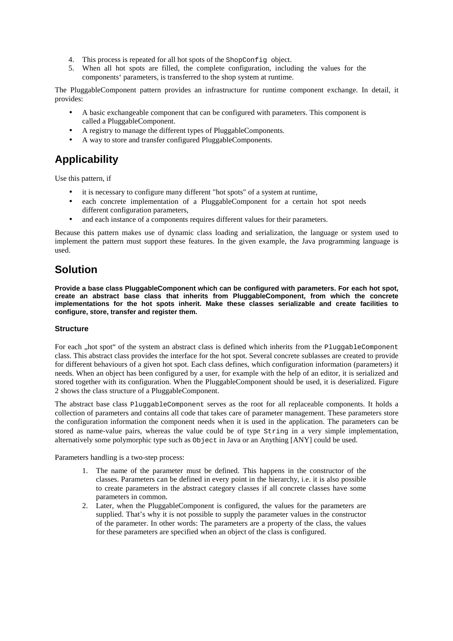- 4. This process is repeated for all hot spots of the ShopConfig object.
- 5. When all hot spots are filled, the complete configuration, including the values for the components' parameters, is transferred to the shop system at runtime.

The PluggableComponent pattern provides an infrastructure for runtime component exchange. In detail, it provides:

- A basic exchangeable component that can be configured with parameters. This component is called a PluggableComponent.
- A registry to manage the different types of PluggableComponents.
- A way to store and transfer configured PluggableComponents.

# **Applicability**

Use this pattern, if

- it is necessary to configure many different "hot spots" of a system at runtime,
- each concrete implementation of a PluggableComponent for a certain hot spot needs different configuration parameters,
- and each instance of a components requires different values for their parameters.

Because this pattern makes use of dynamic class loading and serialization, the language or system used to implement the pattern must support these features. In the given example, the Java programming language is used.

## **Solution**

**Provide a base class PluggableComponent which can be configured with parameters. For each hot spot, create an abstract base class that inherits from PluggableComponent, from which the concrete implementations for the hot spots inherit. Make these classes serializable and create facilities to configure, store, transfer and register them.**

### **Structure**

For each , hot spot" of the system an abstract class is defined which inherits from the PluggableComponent class. This abstract class provides the interface for the hot spot. Several concrete sublasses are created to provide for different behaviours of a given hot spot. Each class defines, which configuration information (parameters) it needs. When an object has been configured by a user, for example with the help of an editor, it is serialized and stored together with its configuration. When the PluggableComponent should be used, it is deserialized. Figure 2 shows the class structure of a PluggableComponent.

The abstract base class PluggableComponent serves as the root for all replaceable components. It holds a collection of parameters and contains all code that takes care of parameter management. These parameters store the configuration information the component needs when it is used in the application. The parameters can be stored as name-value pairs, whereas the value could be of type String in a very simple implementation, alternatively some polymorphic type such as Object in Java or an Anything [ANY] could be used.

Parameters handling is a two-step process:

- 1. The name of the parameter must be defined. This happens in the constructor of the classes. Parameters can be defined in every point in the hierarchy, i.e. it is also possible to create parameters in the abstract category classes if all concrete classes have some parameters in common.
- 2. Later, when the PluggableComponent is configured, the values for the parameters are supplied. That's why it is not possible to supply the parameter values in the constructor of the parameter. In other words: The parameters are a property of the class, the values for these parameters are specified when an object of the class is configured.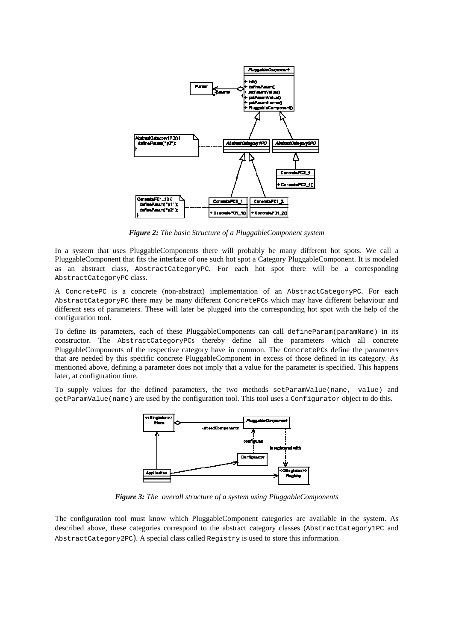

*Figure 2: The basic Structure of a PluggableComponent system*

In a system that uses PluggableComponents there will probably be many different hot spots. We call a PluggableComponent that fits the interface of one such hot spot a Category PluggableComponent. It is modeled as an abstract class, AbstractCategoryPC. For each hot spot there will be a corresponding AbstractCategoryPC class.

A ConcretePC is a concrete (non-abstract) implementation of an AbstractCategoryPC. For each AbstractCategoryPC there may be many different ConcretePCs which may have different behaviour and different sets of parameters. These will later be plugged into the corresponding hot spot with the help of the configuration tool.

To define its parameters, each of these PluggableComponents can call defineParam(paramName) in its constructor. The AbstractCategoryPCs thereby define all the parameters which all concrete PluggableComponents of the respective category have in common. The ConcretePCs define the parameters that are needed by this specific concrete PluggableComponent in excess of those defined in its category. As mentioned above, defining a parameter does not imply that a value for the parameter is specified. This happens later, at configuration time.

To supply values for the defined parameters, the two methods setParamValue(name, value) and getParamValue(name) are used by the configuration tool. This tool uses a Configurator object to do this.



*Figure 3: The overall structure of a system using PluggableComponents*

The configuration tool must know which PluggableComponent categories are available in the system. As described above, these categories correspond to the abstract category classes (AbstractCategory1PC and AbstractCategory2PC). A special class called Registry is used to store this information.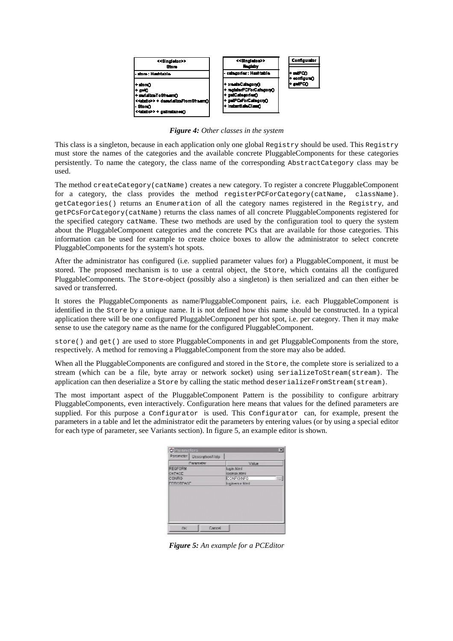

*Figure 4: Other classes in the system*

This class is a singleton, because in each application only one global Registry should be used. This Registry must store the names of the categories and the available concrete PluggableComponents for these categories persistently. To name the category, the class name of the corresponding AbstractCategory class may be used.

The method createCategory(catName) creates a new category. To register a concrete PluggableComponent for a category, the class provides the method registerPCForCategory(catName, className). getCategories() returns an Enumeration of all the category names registered in the Registry, and getPCsForCategory(catName) returns the class names of all concrete PluggableComponents registered for the specified category catName. These two methods are used by the configuration tool to query the system about the PluggableComponent categories and the concrete PCs that are available for those categories. This information can be used for example to create choice boxes to allow the administrator to select concrete PluggableComponents for the system's hot spots.

After the administrator has configured (i.e. supplied parameter values for) a PluggableComponent, it must be stored. The proposed mechanism is to use a central object, the Store, which contains all the configured PluggableComponents. The Store-object (possibly also a singleton) is then serialized and can then either be saved or transferred.

It stores the PluggableComponents as name/PluggableComponent pairs, i.e. each PluggableComponent is identified in the Store by a unique name. It is not defined how this name should be constructed. In a typical application there will be one configured PluggableComponent per hot spot, i.e. per category. Then it may make sense to use the category name as the name for the configured PluggableComponent.

store() and get() are used to store PluggableComponents in and get PluggableComponents from the store, respectively. A method for removing a PluggableComponent from the store may also be added.

When all the PluggableComponents are configured and stored in the store, the complete store is serialized to a stream (which can be a file, byte array or network socket) using serializeToStream(stream). The application can then deserialize a Store by calling the static method deserializeFromStream(stream).

The most important aspect of the PluggableComponent Pattern is the possibility to configure arbitrary PluggableComponents, even interactively. Configuration here means that values for the defined parameters are supplied. For this purpose a Configurator is used. This Configurator can, for example, present the parameters in a table and let the administrator edit the parameters by entering values (or by using a special editor for each type of parameter, see Variants section). In figure 5, an example editor is shown.

| Parameters                   | 国               |
|------------------------------|-----------------|
| Patameter   Description/Help |                 |
| Parameter                    | Value           |
| REDFORM                      | logic timi      |
| <b>OKPAGE</b>                | loginak titml   |
| <b>CONFIG</b>                | CONFIDENTI      |
| <b>FROORD VISIT</b>          | Ingineron Maril |
|                              |                 |
| Cancel<br>DK.                |                 |

*Figure 5: An example for a PCEditor*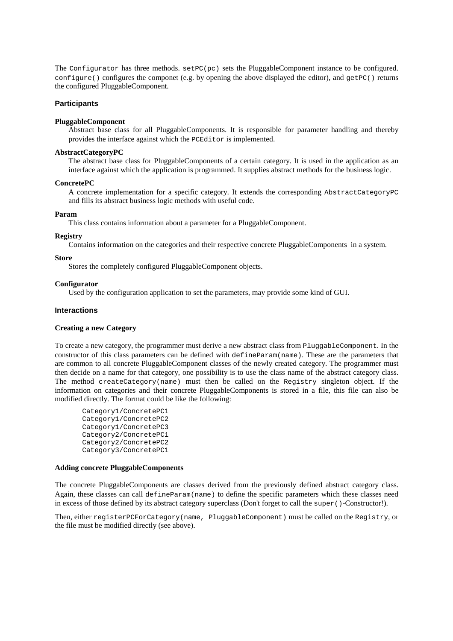The Configurator has three methods.  $setPC(pc)$  sets the PluggableComponent instance to be configured. configure() configures the componet (e.g. by opening the above displayed the editor), and getPC() returns the configured PluggableComponent.

### **Participants**

#### **PluggableComponent**

Abstract base class for all PluggableComponents. It is responsible for parameter handling and thereby provides the interface against which the PCEditor is implemented.

#### **AbstractCategoryPC**

The abstract base class for PluggableComponents of a certain category. It is used in the application as an interface against which the application is programmed. It supplies abstract methods for the business logic.

#### **ConcretePC**

A concrete implementation for a specific category. It extends the corresponding AbstractCategoryPC and fills its abstract business logic methods with useful code.

#### **Param**

This class contains information about a parameter for a PluggableComponent.

### **Registry**

Contains information on the categories and their respective concrete PluggableComponents in a system.

#### **Store**

Stores the completely configured PluggableComponent objects.

#### **Configurator**

Used by the configuration application to set the parameters, may provide some kind of GUI.

### **Interactions**

#### **Creating a new Category**

To create a new category, the programmer must derive a new abstract class from PluggableComponent. In the constructor of this class parameters can be defined with defineParam(name). These are the parameters that are common to all concrete PluggableComponent classes of the newly created category. The programmer must then decide on a name for that category, one possibility is to use the class name of the abstract category class. The method createCategory(name) must then be called on the Registry singleton object. If the information on categories and their concrete PluggableComponents is stored in a file, this file can also be modified directly. The format could be like the following:

```
Category1/ConcretePC1
Category1/ConcretePC2
Category1/ConcretePC3
Category2/ConcretePC1
Category2/ConcretePC2
Category3/ConcretePC1
```
#### **Adding concrete PluggableComponents**

The concrete PluggableComponents are classes derived from the previously defined abstract category class. Again, these classes can call defineParam(name) to define the specific parameters which these classes need in excess of those defined by its abstract category superclass (Don't forget to call the super ()-Constructor!).

Then, either registerPCForCategory(name, PluggableComponent) must be called on the Registry, or the file must be modified directly (see above).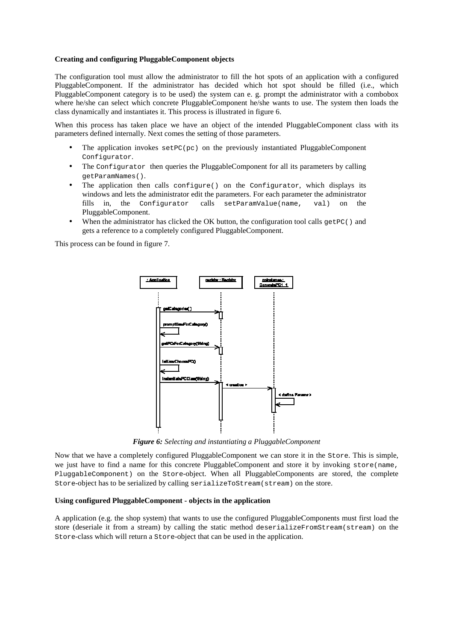### **Creating and configuring PluggableComponent objects**

The configuration tool must allow the administrator to fill the hot spots of an application with a configured PluggableComponent. If the administrator has decided which hot spot should be filled (i.e., which PluggableComponent category is to be used) the system can e. g. prompt the administrator with a combobox where he/she can select which concrete PluggableComponent he/she wants to use. The system then loads the class dynamically and instantiates it. This process is illustrated in figure 6.

When this process has taken place we have an object of the intended PluggableComponent class with its parameters defined internally. Next comes the setting of those parameters.

- The application invokes  $setPC(pc)$  on the previously instantiated PluggableComponent Configurator.
- The Configurator then queries the PluggableComponent for all its parameters by calling getParamNames().
- The application then calls configure() on the Configurator, which displays its windows and lets the administrator edit the parameters. For each parameter the administrator fills in, the Configurator calls setParamValue(name, val) on the PluggableComponent.
- When the administrator has clicked the OK button, the configuration tool calls  $q$ etPC() and gets a reference to a completely configured PluggableComponent.

This process can be found in figure 7.



*Figure 6: Selecting and instantiating a PluggableComponent*

Now that we have a completely configured PluggableComponent we can store it in the Store. This is simple, we just have to find a name for this concrete PluggableComponent and store it by invoking store(name, PluggableComponent) on the Store-object. When all PluggableComponents are stored, the complete Store-object has to be serialized by calling serializeToStream(stream) on the store.

#### **Using configured PluggableComponent - objects in the application**

A application (e.g. the shop system) that wants to use the configured PluggableComponents must first load the store (deseriale it from a stream) by calling the static method deserializeFromStream(stream) on the Store-class which will return a Store-object that can be used in the application.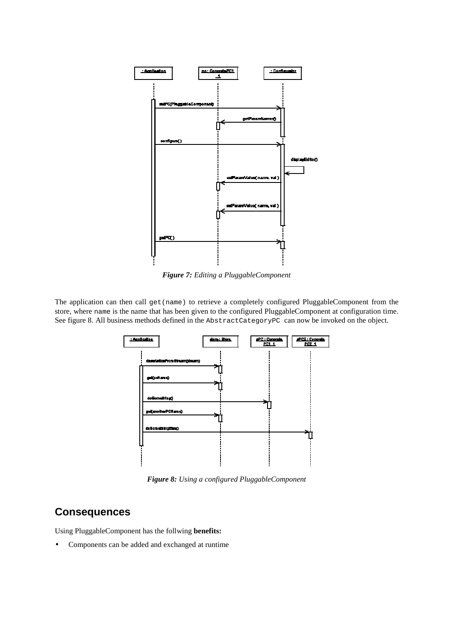

*Figure 7: Editing a PluggableComponent*

The application can then call get (name) to retrieve a completely configured PluggableComponent from the store, where name is the name that has been given to the configured PluggableComponent at configuration time. See figure 8. All business methods defined in the AbstractCategoryPC can now be invoked on the object.



*Figure 8: Using a configured PluggableComponent*

### **Consequences**

Using PluggableComponent has the follwing **benefits:**

• Components can be added and exchanged at runtime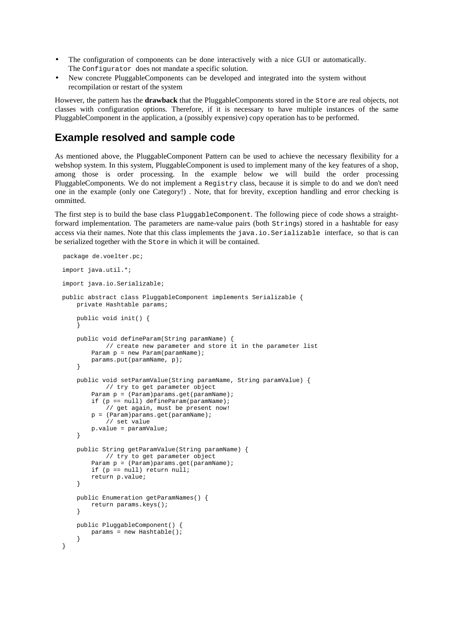- The configuration of components can be done interactively with a nice GUI or automatically. The Configurator does not mandate a specific solution.
- New concrete PluggableComponents can be developed and integrated into the system without recompilation or restart of the system

However, the pattern has the **drawback** that the PluggableComponents stored in the Store are real objects, not classes with configuration options. Therefore, if it is necessary to have multiple instances of the same PluggableComponent in the application, a (possibly expensive) copy operation has to be performed.

### **Example resolved and sample code**

As mentioned above, the PluggableComponent Pattern can be used to achieve the necessary flexibility for a webshop system. In this system, PluggableComponent is used to implement many of the key features of a shop, among those is order processing. In the example below we will build the order processing PluggableComponents. We do not implement a Registry class, because it is simple to do and we don't need one in the example (only one Category!) . Note, that for brevity, exception handling and error checking is ommitted.

The first step is to build the base class PluggableComponent. The following piece of code shows a straightforward implementation. The parameters are name-value pairs (both Strings) stored in a hashtable for easy access via their names. Note that this class implements the java.io.Serializable interface, so that is can be serialized together with the Store in which it will be contained.

```
package de.voelter.pc;
import java.util.*;
import java.io.Serializable;
public abstract class PluggableComponent implements Serializable {
    private Hashtable params;
   public void init() {
    }
    public void defineParam(String paramName) {
            // create new parameter and store it in the parameter list
        Param p = new Param(paramName);
        params.put(paramName, p);
    }
    public void setParamValue(String paramName, String paramValue) {
           // try to get parameter object
        Param p = (Param)params.get(paramName);if (p == null) defineParam(paramName);
            // get again, must be present now!
        p = (Param)params.get(paramName);
            // set value
        p.value = paramValue;
    }
    public String getParamValue(String paramName) {
            // try to get parameter object
        Param p = (Param)params.get(paramName);
        if (p == null) return null;
        return p.value;
    }
    public Enumeration getParamNames() {
        return params.keys();
    }
    public PluggableComponent() {
       params = new Hashtable();
    }
}
```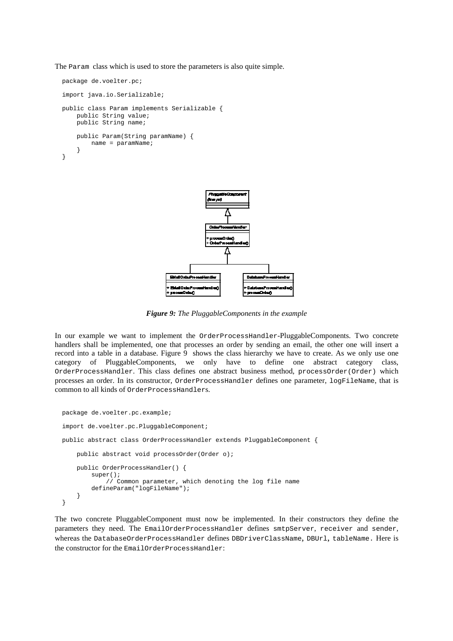The Param class which is used to store the parameters is also quite simple.

```
package de.voelter.pc;
import java.io.Serializable;
public class Param implements Serializable {
   public String value;
   public String name;
    public Param(String paramName) {
        name = paramName;
    }
}
```


*Figure 9: The PluggableComponents in the example*

In our example we want to implement the OrderProcessHandler-PluggableComponents. Two concrete handlers shall be implemented, one that processes an order by sending an email, the other one will insert a record into a table in a database. Figure 9 shows the class hierarchy we have to create. As we only use one category of PluggableComponents, we only have to define one abstract category class, OrderProcessHandler. This class defines one abstract business method, processOrder(Order) which processes an order. In its constructor, OrderProcessHandler defines one parameter, logFileName, that is common to all kinds of OrderProcessHandlers.

```
package de.voelter.pc.example;
import de.voelter.pc.PluggableComponent;
public abstract class OrderProcessHandler extends PluggableComponent {
    public abstract void processOrder(Order o);
    public OrderProcessHandler() {
        super();
            // Common parameter, which denoting the log file name
        defineParam("logFileName");
    }
}
```
The two concrete PluggableComponent must now be implemented. In their constructors they define the parameters they need. The EmailOrderProcessHandler defines smtpServer, receiver and sender, whereas the DatabaseOrderProcessHandler defines DBDriverClassName, DBUrl, tableName. Here is the constructor for the EmailOrderProcessHandler: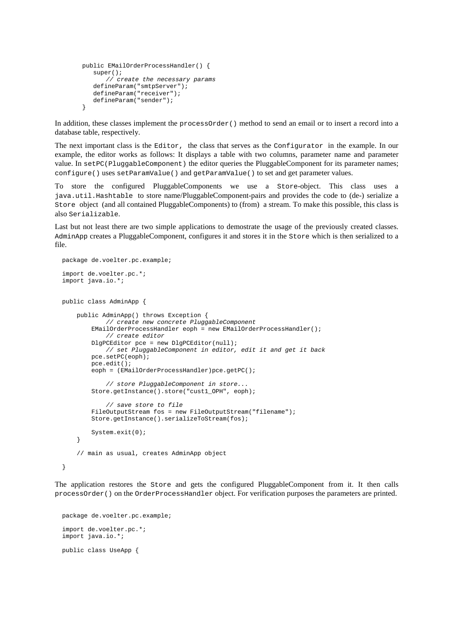```
public EMailOrderProcessHandler() {
  super();
      // create the necessary params
   defineParam("smtpServer");
  defineParam("receiver");
   defineParam("sender");
}
```
In addition, these classes implement the processOrder() method to send an email or to insert a record into a database table, respectively.

The next important class is the Editor, the class that serves as the Configurator in the example. In our example, the editor works as follows: It displays a table with two columns, parameter name and parameter value. In setPC(PluggableComponent) the editor queries the PluggableComponent for its parameter names; configure() uses setParamValue() and getParamValue() to set and get parameter values.

To store the configured PluggableComponents we use a Store-object. This class uses a java.util.Hashtable to store name/PluggableComponent-pairs and provides the code to (de-) serialize a Store object (and all contained PluggableComponents) to (from) a stream. To make this possible, this class is also Serializable.

Last but not least there are two simple applications to demostrate the usage of the previously created classes. AdminApp creates a PluggableComponent, configures it and stores it in the Store which is then serialized to a file.

```
package de.voelter.pc.example;
import de.voelter.pc.*;
import java.io.*;
public class AdminApp {
    public AdminApp() throws Exception {
            // create new concrete PluggableComponent
        EMailOrderProcessHandler eoph = new EMailOrderProcessHandler();
           // create editor
        DlgPCEditor pce = new DlgPCEditor(null);
            // set PluggableComponent in editor, edit it and get it back
        pce.setPC(eoph);
        pce.edit();
        eoph = (EMailOrderProcessHandler)pce.getPC();
            // store PluggableComponent in store...
        Store.getInstance().store("cust1_OPH", eoph);
            // save store to file
        FileOutputStream fos = new FileOutputStream("filename");
        Store.getInstance().serializeToStream(fos);
        System.exit(0);
    }
    // main as usual, creates AdminApp object
}
```
The application restores the Store and gets the configured PluggableComponent from it. It then calls processOrder() on the OrderProcessHandler object. For verification purposes the parameters are printed.

```
package de.voelter.pc.example;
import de.voelter.pc.*;
import java.io.*;
public class UseApp {
```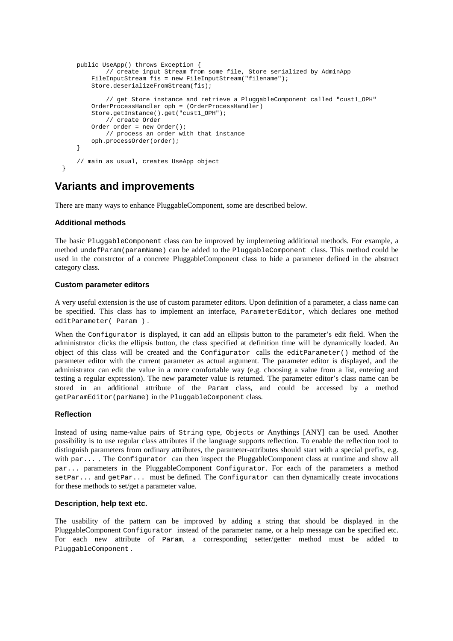```
public UseApp() throws Exception {
            // create input Stream from some file, Store serialized by AdminApp
        FileInputStream fis = new FileInputStream("filename");
        Store.deserializeFromStream(fis);
            // get Store instance and retrieve a PluggableComponent called "cust1_OPH"
        OrderProcessHandler oph = (OrderProcessHandler)
        Store.getInstance().get("cust1_OPH");
            // create Order
        Order order = new Order();
           // process an order with that instance
        oph.processOrder(order);
    }
    // main as usual, creates UseApp object
}
```
# **Variants and improvements**

There are many ways to enhance PluggableComponent, some are described below.

### **Additional methods**

The basic PluggableComponent class can be improved by implemeting additional methods. For example, a method undefParam(paramName) can be added to the PluggableComponent class. This method could be used in the constrctor of a concrete PluggableComponent class to hide a parameter defined in the abstract category class.

### **Custom parameter editors**

A very useful extension is the use of custom parameter editors. Upon definition of a parameter, a class name can be specified. This class has to implement an interface, ParameterEditor, which declares one method editParameter( Param ) .

When the Configurator is displayed, it can add an ellipsis button to the parameter's edit field. When the administrator clicks the ellipsis button, the class specified at definition time will be dynamically loaded. An object of this class will be created and the Configurator calls the editParameter() method of the parameter editor with the current parameter as actual argument. The parameter editor is displayed, and the administrator can edit the value in a more comfortable way (e.g. choosing a value from a list, entering and testing a regular expression). The new parameter value is returned. The parameter editor's class name can be stored in an additional attribute of the Param class, and could be accessed by a method getParamEditor(parName) in the PluggableComponent class.

### **Reflection**

Instead of using name-value pairs of String type, Objects or Anythings [ANY] can be used. Another possibility is to use regular class attributes if the language supports reflection. To enable the reflection tool to distinguish parameters from ordinary attributes, the parameter-attributes should start with a special prefix, e.g. with par.... The Configurator can then inspect the PluggableComponent class at runtime and show all par... parameters in the PluggableComponent Configurator. For each of the parameters a method setPar... and getPar... must be defined. The Configurator can then dynamically create invocations for these methods to set/get a parameter value.

#### **Description, help text etc.**

The usability of the pattern can be improved by adding a string that should be displayed in the PluggableComponent Configurator instead of the parameter name, or a help message can be specified etc. For each new attribute of Param, a corresponding setter/getter method must be added to PluggableComponent .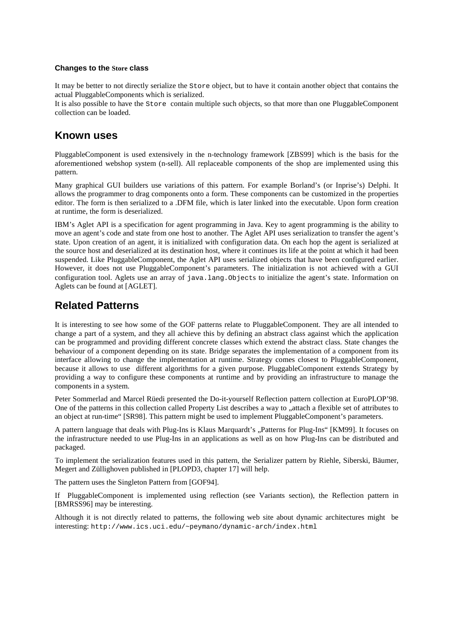### **Changes to the Store class**

It may be better to not directly serialize the Store object, but to have it contain another object that contains the actual PluggableComponents which is serialized.

It is also possible to have the Store contain multiple such objects, so that more than one PluggableComponent collection can be loaded.

### **Known uses**

PluggableComponent is used extensively in the n-technology framework [ZBS99] which is the basis for the aforementioned webshop system (n-sell). All replaceable components of the shop are implemented using this pattern.

Many graphical GUI builders use variations of this pattern. For example Borland's (or Inprise's) Delphi. It allows the programmer to drag components onto a form. These components can be customized in the properties editor. The form is then serialized to a .DFM file, which is later linked into the executable. Upon form creation at runtime, the form is deserialized.

IBM's Aglet API is a specification for agent programming in Java. Key to agent programming is the ability to move an agent's code and state from one host to another. The Aglet API uses serialization to transfer the agent's state. Upon creation of an agent, it is initialized with configuration data. On each hop the agent is serialized at the source host and deserialized at its destination host, where it continues its life at the point at which it had been suspended. Like PluggableComponent, the Aglet API uses serialized objects that have been configured earlier. However, it does not use PluggableComponent's parameters. The initialization is not achieved with a GUI configuration tool. Aglets use an array of java.lang.Objects to initialize the agent's state. Information on Aglets can be found at [AGLET].

# **Related Patterns**

It is interesting to see how some of the GOF patterns relate to PluggableComponent. They are all intended to change a part of a system, and they all achieve this by defining an abstract class against which the application can be programmed and providing different concrete classes which extend the abstract class. State changes the behaviour of a component depending on its state. Bridge separates the implementation of a component from its interface allowing to change the implementation at runtime. Strategy comes closest to PluggableComponent, because it allows to use different algorithms for a given purpose. PluggableComponent extends Strategy by providing a way to configure these components at runtime and by providing an infrastructure to manage the components in a system.

Peter Sommerlad and Marcel Rüedi presented the Do-it-yourself Reflection pattern collection at EuroPLOP'98. One of the patterns in this collection called Property List describes a way to "attach a flexible set of attributes to an object at run-time" [SR98]. This pattern might be used to implement PluggableComponent's parameters.

A pattern language that deals with Plug-Ins is Klaus Marquardt's ..Patterns for Plug-Ins" [KM99]. It focuses on the infrastructure needed to use Plug-Ins in an applications as well as on how Plug-Ins can be distributed and packaged.

To implement the serialization features used in this pattern, the Serializer pattern by Riehle, Siberski, Bäumer, Megert and Züllighoven published in [PLOPD3, chapter 17] will help.

The pattern uses the Singleton Pattern from [GOF94].

If PluggableComponent is implemented using reflection (see Variants section), the Reflection pattern in [BMRSS96] may be interesting.

Although it is not directly related to patterns, the following web site about dynamic architectures might be interesting: http://www.ics.uci.edu/~peymano/dynamic-arch/index.html